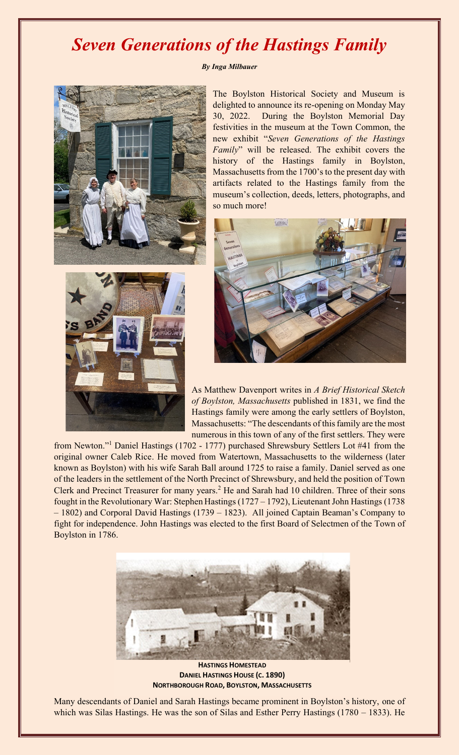## *Seven Generations of the Hastings Family*

## *By Inga Milbauer*



The Boylston Historical Society and Museum is delighted to announce its re-opening on Monday May 30, 2022. During the Boylston Memorial Day festivities in the museum at the Town Common, the new exhibit "*Seven Generations of the Hastings Family*" will be released. The exhibit covers the history of the Hastings family in Boylston, Massachusetts from the 1700's to the present day with artifacts related to the Hastings family from the museum's collection, deeds, letters, photographs, and so much more!





As Matthew Davenport writes in *[A Brief Historical](https://www.google.com/books/edition/_/4mmCgJdCQtwC?hl=en&gbpv=1) [Sketch](https://www.google.com/books/edition/_/4mmCgJdCQtwC?hl=en&gbpv=1)  [of Boylston, Massachusetts](https://www.google.com/books/edition/_/4mmCgJdCQtwC?hl=en&gbpv=1)* published in 1831, we find the Hastings family were among the early settlers of Boylston, Massachusetts: "The descendants of this family are the most numerous in this town of any of the first settlers. They were

from Newton."<sup>1</sup> Daniel Hastings (1702 - 1777) purchased Shrewsbury Settlers Lot #41 from the original owner Caleb Rice. He moved from Watertown, Massachusetts to the wilderness (later known as Boylston) with his wife Sarah Ball around 1725 to raise a family. Daniel served as one of the leaders in the settlement of the North Precinct of Shrewsbury, and held the position of Town Clerk and Precinct Treasurer for many years.<sup>2</sup> He and Sarah had 10 children. Three of their sons fought in the Revolutionary War: Stephen Hastings (1727 – 1792), Lieutenant John Hastings (1738 – 1802) and Corporal David Hastings (1739 – 1823). All joined Captain Beaman's Company to fight for independence. John Hastings was elected to the first Board of Selectmen of the Town of Boylston in 1786.



**HASTINGS HOMESTEAD DANIEL HASTINGS HOUSE (C. 1890) NORTHBOROUGH ROAD, BOYLSTON, MASSACHUSETTS**

Many descendants of Daniel and Sarah Hastings became prominent in Boylston's history, one of which was Silas Hastings. He was the son of Silas and Esther Perry Hastings (1780 – 1833). He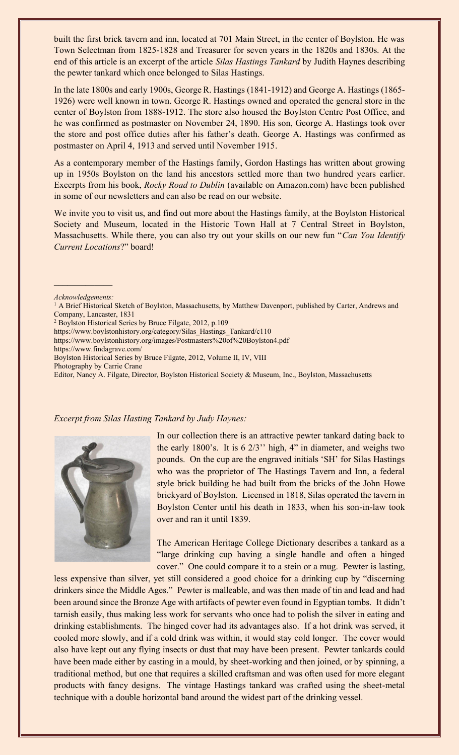built the first brick tavern and inn, located at 701 Main Street, in the center of Boylston. He was Town Selectman from 1825-1828 and Treasurer for seven years in the 1820s and 1830s. At the end of this article is an excerpt of the article *Silas Hastings Tankard* by Judith Haynes describing the pewter tankard which once belonged to Silas Hastings.

In the late 1800s and early 1900s, George R. Hastings (1841-1912) and George A. Hastings (1865- 1926) were well known in town. George R. Hastings owned and operated the general store in the center of Boylston from 1888-1912. The store also housed the Boylston Centre Post Office, and he was confirmed as postmaster on November 24, 1890. His son, George A. Hastings took over the store and post office duties after his father's death. George A. Hastings was confirmed as postmaster on April 4, 1913 and served until November 1915.

As a contemporary member of the Hastings family, Gordon Hastings has written about growing up in 1950s Boylston on the land his ancestors settled more than two hundred years earlier. Excerpts from his book, *Rocky Road to Dublin* (available on Amazon.com) have been published in some of our newsletters and can also be read on our website.

We invite you to visit us, and find out more about the Hastings family, at the Boylston Historical Society and Museum, located in the Historic Town Hall at 7 Central Street in Boylston, Massachusetts. While there, you can also try out your skills on our new fun "*Can You Identify Current Locations*?" board!

*Acknowledgements:*

<https://www.boylstonhistory.org/images/Postmasters%20of%20Boylston4.pdf>

https://www.findagrave.com/

Boylston Historical Series by Bruce Filgate, 2012, Volume II, IV, VIII

Photography by Carrie Crane

Editor, Nancy A. Filgate, Director, Boylston Historical Society & Museum, Inc., Boylston, Massachusetts

## *Excerpt from Silas Hasting Tankard by Judy Haynes:*



In our collection there is an attractive pewter tankard dating back to the early 1800's. It is 6 2/3'' high, 4" in diameter, and weighs two pounds. On the cup are the engraved initials 'SH' for Silas Hastings who was the proprietor of The Hastings Tavern and Inn, a federal style brick building he had built from the bricks of the John Howe brickyard of Boylston. Licensed in 1818, Silas operated the tavern in Boylston Center until his death in 1833, when his son-in-law took over and ran it until 1839.

The American Heritage College Dictionary describes a tankard as a "large drinking cup having a single handle and often a hinged cover." One could compare it to a stein or a mug. Pewter is lasting,

less expensive than silver, yet still considered a good choice for a drinking cup by "discerning drinkers since the Middle Ages." Pewter is malleable, and was then made of tin and lead and had been around since the Bronze Age with artifacts of pewter even found in Egyptian tombs. It didn't tarnish easily, thus making less work for servants who once had to polish the silver in eating and drinking establishments. The hinged cover had its advantages also. If a hot drink was served, it cooled more slowly, and if a cold drink was within, it would stay cold longer. The cover would also have kept out any flying insects or dust that may have been present. Pewter tankards could have been made either by casting in a mould, by sheet-working and then joined, or by spinning, a traditional method, but one that requires a skilled craftsman and was often used for more elegant products with fancy designs. The vintage Hastings tankard was crafted using the sheet-metal technique with a double horizontal band around the widest part of the drinking vessel.

<sup>&</sup>lt;sup>1</sup> [A Brief Historical](https://www.google.com/books/edition/_/4mmCgJdCQtwC?hl=en&gbpv=1) Sketch of Boylston, Massachusetts, by Matthew Davenport, published by Carter, Andrews and [Company, Lancaster, 1831](https://www.google.com/books/edition/_/4mmCgJdCQtwC?hl=en&gbpv=1)

<sup>&</sup>lt;sup>2</sup> Boylston Historical Series by Bruce Filgate, 2012, p.109

[https://www.boylstonhistory.org/category/Silas\\_Hastings\\_Tankard/c110](https://www.boylstonhistory.org/category/Silas_Hastings_Tankard/c110)